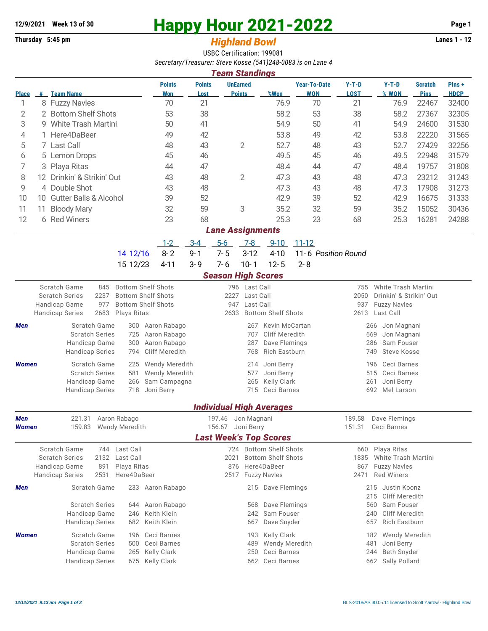## **12/9/2021** Week 13 of 30<br> **Happy Hour 2021-2022** Page 1<br> **Highland Rowl** Lanes 1 - 12<br>
Lanes 1 - 12

## **Thursday 5:45 pm** *Highland Bowl*

USBC Certification: 199081 *Secretary/Treasurer: Steve Kosse (541)248-0083 is on Lane 4 Team Standings*

| ream Standings          |               |                                                                                      |                                       |                       |                       |                                  |                                    |                                   |                                                |                                            |                               |                      |  |  |
|-------------------------|---------------|--------------------------------------------------------------------------------------|---------------------------------------|-----------------------|-----------------------|----------------------------------|------------------------------------|-----------------------------------|------------------------------------------------|--------------------------------------------|-------------------------------|----------------------|--|--|
| <b>Place</b>            |               | # Team Name                                                                          | <b>Points</b><br><b>Won</b>           | <b>Points</b><br>Lost |                       | <b>UnEarned</b><br><b>Points</b> | %Won                               | <b>Year-To-Date</b><br><b>WON</b> | $Y-T-D$<br><b>LOST</b>                         | $Y-T-D$<br>% WON                           | <b>Scratch</b><br><b>Pins</b> | Pins+<br><b>HDCP</b> |  |  |
| 1                       |               | 8 Fuzzy Navles                                                                       | 70                                    | 21                    |                       |                                  | 76.9                               | 70                                | 21                                             | 76.9                                       | 22467                         | 32400                |  |  |
| 2                       |               | 2 Bottom Shelf Shots                                                                 | 53                                    | 38                    |                       |                                  | 58.2                               | 53                                | 38                                             | 58.2                                       | 27367                         | 32305                |  |  |
| 3                       |               | 9 White Trash Martini                                                                | 50                                    | 41                    |                       |                                  | 54.9                               | 50                                | 41                                             | 54.9                                       | 24600                         | 31530                |  |  |
| 4                       |               | 1 Here4DaBeer                                                                        | 49                                    | 42                    |                       |                                  | 53.8                               | 49                                | 42                                             | 53.8                                       | 22220                         | 31565                |  |  |
| 5                       |               | 7 Last Call                                                                          | 48                                    | 43                    | 2                     |                                  | 52.7                               | 48                                | 43                                             | 52.7                                       | 27429                         | 32256                |  |  |
| 6                       |               | 5 Lemon Drops                                                                        | 45                                    | 46                    |                       |                                  | 49.5                               | 45                                | 46                                             | 49.5                                       | 22948                         | 31579                |  |  |
| 7                       | 3             | Playa Ritas                                                                          | 44                                    | 47                    |                       |                                  | 48.4                               | 44                                | 47                                             | 48.4                                       | 19757                         | 31808                |  |  |
| 8                       |               | 12 Drinkin' & Strikin' Out                                                           | 43                                    | 48<br>2               |                       |                                  | 47.3                               | 43                                | 48                                             | 47.3                                       | 23212                         | 31243                |  |  |
| 9                       | 4 Double Shot |                                                                                      |                                       | 48                    |                       |                                  | 47.3                               | 43                                | 48                                             | 47.3                                       | 17908                         | 31273                |  |  |
| 10                      |               | 10 Gutter Balls & Alcohol                                                            | 43<br>39                              | 52                    |                       |                                  | 42.9                               | 39                                | 52                                             | 42.9                                       | 16675                         | 31333                |  |  |
|                         |               |                                                                                      |                                       | 59                    |                       |                                  |                                    |                                   |                                                |                                            |                               |                      |  |  |
| 11                      | 11            | <b>Bloody Mary</b>                                                                   | 32                                    |                       | 3                     |                                  | 35.2                               | 32                                | 59                                             | 35.2                                       | 15052                         | 30436                |  |  |
| 12                      |               | 6 Red Winers                                                                         | 23                                    | 68                    |                       |                                  | 25.3                               | 23                                | 68                                             | 25.3                                       | 16281                         | 24288                |  |  |
| <b>Lane Assignments</b> |               |                                                                                      |                                       |                       |                       |                                  |                                    |                                   |                                                |                                            |                               |                      |  |  |
|                         |               |                                                                                      | $1-2$                                 | $3 - 4$               | $5 - 6$               | $7-8$                            | $9 - 10$                           | $11 - 12$                         |                                                |                                            |                               |                      |  |  |
|                         |               | 14 12/16                                                                             | $8 - 2$                               | $9 - 1$               | $7 - 5$               | $3-12$                           | $4 - 10$                           | 11-6 Position Round               |                                                |                                            |                               |                      |  |  |
|                         |               | 15 12/23                                                                             | $4 - 11$                              | $3 - 9$               | $7 - 6$               | $10 - 1$                         | $12 - 5$                           | $2 - 8$                           |                                                |                                            |                               |                      |  |  |
|                         |               |                                                                                      |                                       |                       |                       |                                  | <b>Season High Scores</b>          |                                   |                                                |                                            |                               |                      |  |  |
|                         |               | Scratch Game<br>845                                                                  | <b>Bottom Shelf Shots</b>             |                       |                       | 796 Last Call                    |                                    |                                   | 755                                            | White Trash Martini                        |                               |                      |  |  |
|                         |               | 2237<br><b>Scratch Series</b>                                                        | <b>Bottom Shelf Shots</b>             |                       | 2227<br>Last Call     |                                  |                                    |                                   | 2050                                           | Drinkin' & Strikin' Out                    |                               |                      |  |  |
|                         |               | Handicap Game<br>977                                                                 | <b>Bottom Shelf Shots</b>             | Last Call<br>947      |                       |                                  |                                    |                                   | 937                                            | <b>Fuzzy Navles</b>                        |                               |                      |  |  |
|                         |               | 2683<br><b>Handicap Series</b><br>Playa Ritas                                        |                                       |                       | 2633                  |                                  | <b>Bottom Shelf Shots</b>          |                                   | 2613                                           | Last Call                                  |                               |                      |  |  |
| Men                     |               | Scratch Game<br>300                                                                  | Aaron Rabago                          |                       |                       | 267                              | <b>Kevin McCartan</b>              | Jon Magnani<br>266                |                                                |                                            |                               |                      |  |  |
|                         |               | <b>Scratch Series</b><br>725                                                         | Aaron Rabago                          | 707                   |                       |                                  |                                    | Cliff Meredith                    | 669<br>Jon Magnani                             |                                            |                               |                      |  |  |
|                         |               | Handicap Game<br>300                                                                 | Aaron Rabago<br><b>Cliff Meredith</b> |                       |                       | 287                              | Dave Flemings<br>Rich Eastburn     |                                   | Sam Fouser<br>286<br><b>Steve Kosse</b><br>749 |                                            |                               |                      |  |  |
|                         |               | <b>Handicap Series</b><br>794                                                        |                                       |                       |                       | 768                              |                                    |                                   |                                                |                                            |                               |                      |  |  |
| <b>Women</b>            |               | Scratch Game<br>225                                                                  | <b>Wendy Meredith</b>                 |                       |                       | 214                              | Joni Berry                         |                                   |                                                | Ceci Barnes<br>196                         |                               |                      |  |  |
|                         |               | <b>Scratch Series</b><br>581<br>Handicap Game<br>266                                 | <b>Wendy Meredith</b><br>Sam Campagna |                       |                       | 577                              | Joni Berry<br><b>Kelly Clark</b>   |                                   | 515<br>Ceci Barnes<br>Joni Berry<br>261        |                                            |                               |                      |  |  |
|                         |               | <b>Handicap Series</b><br>718                                                        | Joni Berry                            |                       |                       | 265                              | 715 Ceci Barnes                    |                                   | Mel Larson<br>692                              |                                            |                               |                      |  |  |
|                         |               |                                                                                      |                                       |                       |                       |                                  |                                    |                                   |                                                |                                            |                               |                      |  |  |
|                         |               |                                                                                      |                                       |                       |                       |                                  | <b>Individual High Averages</b>    |                                   |                                                |                                            |                               |                      |  |  |
| Men                     |               | Aaron Rabago<br>221.31                                                               |                                       |                       | Jon Magnani<br>197.46 |                                  |                                    |                                   |                                                | Dave Flemings                              |                               |                      |  |  |
| Women                   |               | 159.83<br><b>Wendy Meredith</b>                                                      |                                       |                       | Joni Berry<br>156.67  |                                  |                                    |                                   | Ceci Barnes<br>151.31                          |                                            |                               |                      |  |  |
|                         |               |                                                                                      |                                       |                       |                       |                                  | <b>Last Week's Top Scores</b>      |                                   |                                                |                                            |                               |                      |  |  |
|                         |               | Scratch Game<br>Last Call<br>744                                                     |                                       |                       |                       |                                  | 724 Bottom Shelf Shots             |                                   | 660                                            | Playa Ritas                                |                               |                      |  |  |
|                         |               | <b>Scratch Series</b><br>2132<br>Last Call                                           |                                       |                       | 2021                  |                                  | <b>Bottom Shelf Shots</b>          |                                   | 1835<br><b>White Trash Martini</b>             |                                            |                               |                      |  |  |
|                         |               | Handicap Game<br>Playa Ritas<br>891<br><b>Handicap Series</b><br>2531<br>Here4DaBeer |                                       |                       | 876<br>2517           |                                  | Here4DaBeer<br><b>Fuzzy Navles</b> |                                   | 867<br>2471                                    | <b>Fuzzy Navles</b><br><b>Red Winers</b>   |                               |                      |  |  |
|                         |               |                                                                                      |                                       |                       |                       |                                  |                                    |                                   |                                                |                                            |                               |                      |  |  |
| Men                     |               | Scratch Game                                                                         | 233 Aaron Rabago                      |                       |                       |                                  | 215 Dave Flemings                  |                                   |                                                | 215 Justin Koonz                           |                               |                      |  |  |
|                         |               | <b>Scratch Series</b><br>644                                                         | Aaron Rabago                          |                       |                       | 568                              | Dave Flemings                      |                                   |                                                | Cliff Meredith<br>215<br>Sam Fouser<br>560 |                               |                      |  |  |
|                         |               | Handicap Game<br>246                                                                 | Keith Klein                           |                       |                       | 242                              | Sam Fouser                         |                                   |                                                | <b>Cliff Meredith</b><br>240               |                               |                      |  |  |
|                         |               | <b>Handicap Series</b><br>682                                                        | Keith Klein                           |                       |                       | 667                              | Dave Snyder                        |                                   |                                                | Rich Eastburn<br>657                       |                               |                      |  |  |
|                         |               | Scratch Game<br>196                                                                  | Ceci Barnes                           |                       |                       | 193                              | Kelly Clark                        |                                   |                                                | Wendy Meredith<br>182                      |                               |                      |  |  |
| <b>Women</b>            |               | <b>Scratch Series</b><br>500                                                         | Ceci Barnes                           |                       |                       | 489                              | Wendy Meredith                     |                                   |                                                | 481<br>Joni Berry                          |                               |                      |  |  |
|                         |               | Handicap Game<br>265                                                                 | Kelly Clark                           | 250                   |                       |                                  |                                    | Ceci Barnes                       |                                                | Beth Snyder<br>244                         |                               |                      |  |  |
|                         |               | <b>Handicap Series</b><br>675                                                        | Kelly Clark                           |                       |                       |                                  | 662 Ceci Barnes                    |                                   | 662 Sally Pollard                              |                                            |                               |                      |  |  |
|                         |               |                                                                                      |                                       |                       |                       |                                  |                                    |                                   |                                                |                                            |                               |                      |  |  |